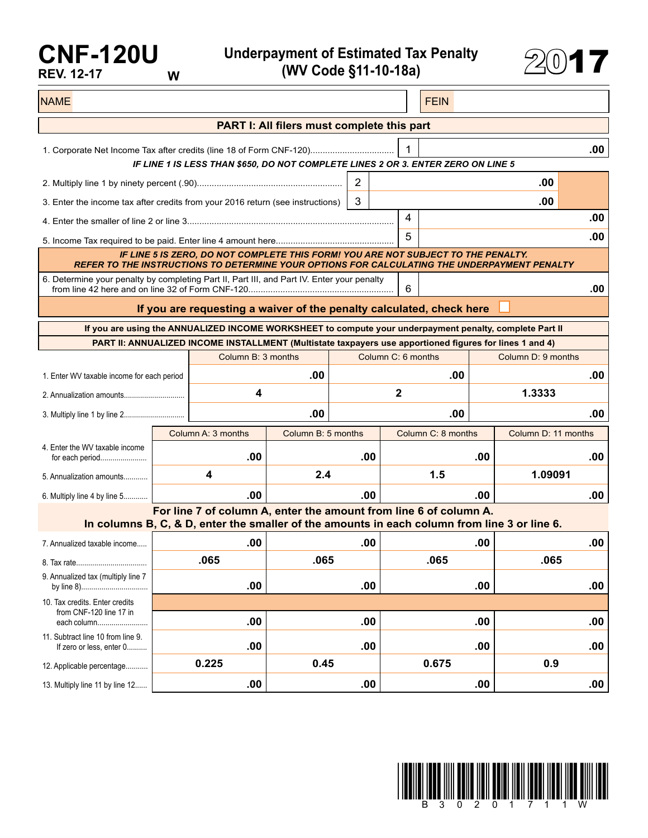## **CNF-120U REV. 12-17 W**

**Underpayment of Estimated Tax Penalty (WV Code §11-10-18a)** 2017



| <b>NAME</b>                                                                                                                                                                       |      |                                                                                                                                                                   |                    |     |                    |                           | <b>FEIN</b> |                     |     |  |  |  |  |
|-----------------------------------------------------------------------------------------------------------------------------------------------------------------------------------|------|-------------------------------------------------------------------------------------------------------------------------------------------------------------------|--------------------|-----|--------------------|---------------------------|-------------|---------------------|-----|--|--|--|--|
| PART I: All filers must complete this part                                                                                                                                        |      |                                                                                                                                                                   |                    |     |                    |                           |             |                     |     |  |  |  |  |
| 1<br>.00<br>IF LINE 1 IS LESS THAN \$650, DO NOT COMPLETE LINES 2 OR 3. ENTER ZERO ON LINE 5                                                                                      |      |                                                                                                                                                                   |                    |     |                    |                           |             |                     |     |  |  |  |  |
|                                                                                                                                                                                   |      |                                                                                                                                                                   |                    |     |                    | .00                       |             |                     |     |  |  |  |  |
| 3. Enter the income tax after credits from your 2016 return (see instructions)                                                                                                    |      |                                                                                                                                                                   |                    | 3   |                    |                           |             | .00                 |     |  |  |  |  |
|                                                                                                                                                                                   |      |                                                                                                                                                                   |                    |     | 4                  |                           |             |                     | .00 |  |  |  |  |
|                                                                                                                                                                                   |      |                                                                                                                                                                   |                    |     | 5                  |                           |             |                     | .00 |  |  |  |  |
| IF LINE 5 IS ZERO, DO NOT COMPLETE THIS FORM! YOU ARE NOT SUBJECT TO THE PENALTY.<br>REFER TO THE INSTRUCTIONS TO DETERMINE YOUR OPTIONS FOR CALCULATING THE UNDERPAYMENT PENALTY |      |                                                                                                                                                                   |                    |     |                    |                           |             |                     |     |  |  |  |  |
| 6. Determine your penalty by completing Part II, Part III, and Part IV. Enter your penalty<br>6                                                                                   |      |                                                                                                                                                                   |                    |     |                    |                           |             |                     | .00 |  |  |  |  |
| If you are requesting a waiver of the penalty calculated, check here                                                                                                              |      |                                                                                                                                                                   |                    |     |                    |                           |             |                     |     |  |  |  |  |
| If you are using the ANNUALIZED INCOME WORKSHEET to compute your underpayment penalty, complete Part II                                                                           |      |                                                                                                                                                                   |                    |     |                    |                           |             |                     |     |  |  |  |  |
|                                                                                                                                                                                   |      | PART II: ANNUALIZED INCOME INSTALLMENT (Multistate taxpayers use apportioned figures for lines 1 and 4)                                                           |                    |     |                    |                           |             |                     |     |  |  |  |  |
|                                                                                                                                                                                   |      | Column B: 3 months                                                                                                                                                |                    |     | Column C: 6 months |                           |             | Column D: 9 months  |     |  |  |  |  |
| 1. Enter WV taxable income for each period                                                                                                                                        |      | .00                                                                                                                                                               |                    |     | .00                |                           | .00         |                     |     |  |  |  |  |
|                                                                                                                                                                                   |      | 4                                                                                                                                                                 |                    |     | $\mathbf{2}$       |                           | 1.3333      |                     |     |  |  |  |  |
|                                                                                                                                                                                   |      | .00                                                                                                                                                               |                    |     | .00                |                           | .00         |                     |     |  |  |  |  |
|                                                                                                                                                                                   |      | Column A: 3 months                                                                                                                                                | Column B: 5 months |     |                    | Column C: 8 months<br>.00 |             | Column D: 11 months |     |  |  |  |  |
| 4. Enter the WV taxable income<br>for each period                                                                                                                                 |      | .00                                                                                                                                                               |                    | .00 |                    |                           |             |                     | .00 |  |  |  |  |
| 5. Annualization amounts                                                                                                                                                          |      | 4                                                                                                                                                                 | 2.4                |     | 1.5                |                           |             | 1.09091             |     |  |  |  |  |
| 6. Multiply line 4 by line 5                                                                                                                                                      |      | .00                                                                                                                                                               |                    | .00 |                    |                           | .00         |                     | .00 |  |  |  |  |
|                                                                                                                                                                                   |      | For line 7 of column A, enter the amount from line 6 of column A.<br>In columns B, C, & D, enter the smaller of the amounts in each column from line 3 or line 6. |                    |     |                    |                           |             |                     |     |  |  |  |  |
| 7. Annualized taxable income                                                                                                                                                      |      | .00                                                                                                                                                               |                    | .00 |                    |                           | .00         |                     | .00 |  |  |  |  |
|                                                                                                                                                                                   | .065 |                                                                                                                                                                   | .065               |     |                    | .065                      |             | .065                |     |  |  |  |  |
| 9. Annualized tax (multiply line 7                                                                                                                                                |      | .00                                                                                                                                                               | .00                |     |                    | .00                       |             |                     | .00 |  |  |  |  |
| 10. Tax credits. Enter credits                                                                                                                                                    |      |                                                                                                                                                                   |                    |     |                    |                           |             |                     |     |  |  |  |  |
| from CNF-120 line 17 in<br>each column                                                                                                                                            |      | .00                                                                                                                                                               |                    | .00 |                    |                           | .00         |                     | .00 |  |  |  |  |
| 11. Subtract line 10 from line 9.<br>If zero or less, enter 0                                                                                                                     |      | .00                                                                                                                                                               |                    | .00 |                    |                           | .00         |                     | .00 |  |  |  |  |
| 12. Applicable percentage                                                                                                                                                         |      | 0.225                                                                                                                                                             | 0.45               |     |                    | 0.675                     |             | 0.9                 |     |  |  |  |  |
| 13. Multiply line 11 by line 12                                                                                                                                                   |      | .00                                                                                                                                                               |                    | .00 |                    |                           | .00         |                     | .00 |  |  |  |  |

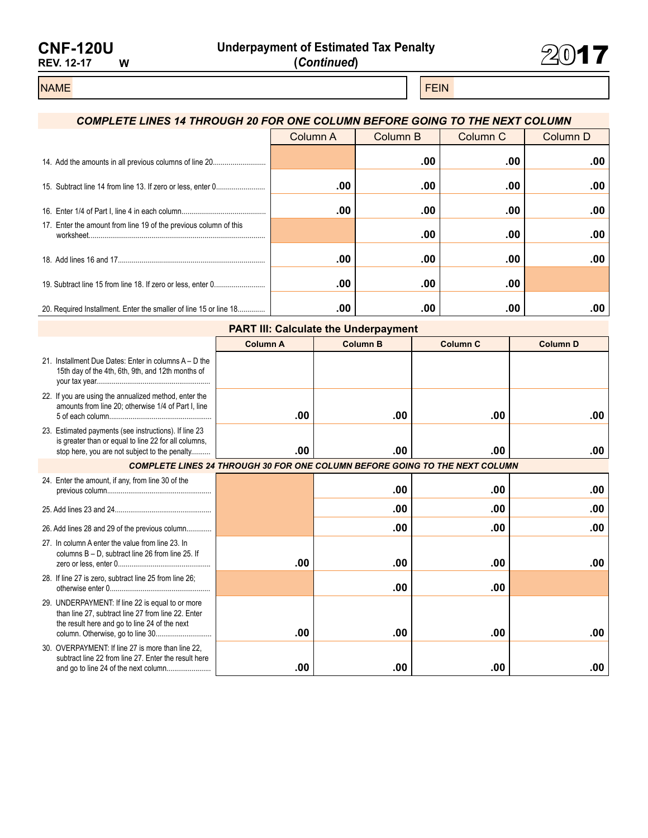| <b>CNF-120U</b>   |   |
|-------------------|---|
| <b>REV. 12-17</b> | w |



## NAME FEIN AND RESERVE THE SERVE THAT IS A REPORT OF THE SERVE THAT IS A REPORT OF THE SERVE THAT IS A REPORT OF

## *COMPLETE LINES 14 THROUGH 20 FOR ONE COLUMN BEFORE GOING TO THE NEXT COLUMN* Column A Column B Column C Column D 14. Add the amounts in all previous columns of line 20........................... **.00 .00 .00** 15. Subtract line 14 from line 13. If zero or less, enter 0......................... **.00 .00 .00 .00** 16. Enter 1/4 of Part I, line 4 in each column........................................... **.00 .00 .00 .00** 17. Enter the amount from line 19 of the previous column of this worksheet.......................................................................................... **.00 .00 .00** 18. Add lines 16 and 17........................................................................... **.00 .00 .00 .00** 19. Subtract line 15 from line 18. If zero or less, enter 0.......................... **.00 .00 .00** 20. Required Installment. Enter the smaller of line 15 or line 18.............. **.00 .00 .00 .00**

| <b>PART III: Calculate the Underpayment</b>                                                                                                                    |                 |                 |                 |                 |  |  |  |  |  |
|----------------------------------------------------------------------------------------------------------------------------------------------------------------|-----------------|-----------------|-----------------|-----------------|--|--|--|--|--|
|                                                                                                                                                                | <b>Column A</b> | <b>Column B</b> | <b>Column C</b> | <b>Column D</b> |  |  |  |  |  |
| 21. Installment Due Dates: Enter in columns A - D the<br>15th day of the 4th, 6th, 9th, and 12th months of                                                     |                 |                 |                 |                 |  |  |  |  |  |
| 22. If you are using the annualized method, enter the<br>amounts from line 20; otherwise 1/4 of Part I, line                                                   | .00             | .00             | .00             | .00             |  |  |  |  |  |
| 23. Estimated payments (see instructions). If line 23<br>is greater than or equal to line 22 for all columns,<br>stop here, you are not subject to the penalty | .00             | .00             | .00             | .00             |  |  |  |  |  |
| <b>COMPLETE LINES 24 THROUGH 30 FOR ONE COLUMN BEFORE GOING TO THE NEXT COLUMN</b>                                                                             |                 |                 |                 |                 |  |  |  |  |  |
| 24. Enter the amount, if any, from line 30 of the                                                                                                              |                 | .00             | .00             | .00             |  |  |  |  |  |
|                                                                                                                                                                |                 | .00             | .00             | .00             |  |  |  |  |  |
| 26. Add lines 28 and 29 of the previous column                                                                                                                 |                 | .00             | .00             | .00             |  |  |  |  |  |
| 27. In column A enter the value from line 23. In<br>columns B - D. subtract line 26 from line 25. If                                                           | .00             | .00             | .00             | .00             |  |  |  |  |  |
| 28. If line 27 is zero, subtract line 25 from line 26;                                                                                                         |                 | .00             | .00             |                 |  |  |  |  |  |
| 29. UNDERPAYMENT: If line 22 is equal to or more<br>than line 27, subtract line 27 from line 22. Enter<br>the result here and go to line 24 of the next        | .00             | .00             | .00             | .00             |  |  |  |  |  |
| 30. OVERPAYMENT: If line 27 is more than line 22.<br>subtract line 22 from line 27. Enter the result here<br>and go to line 24 of the next column              | .00             | .00             | .00             | .00             |  |  |  |  |  |